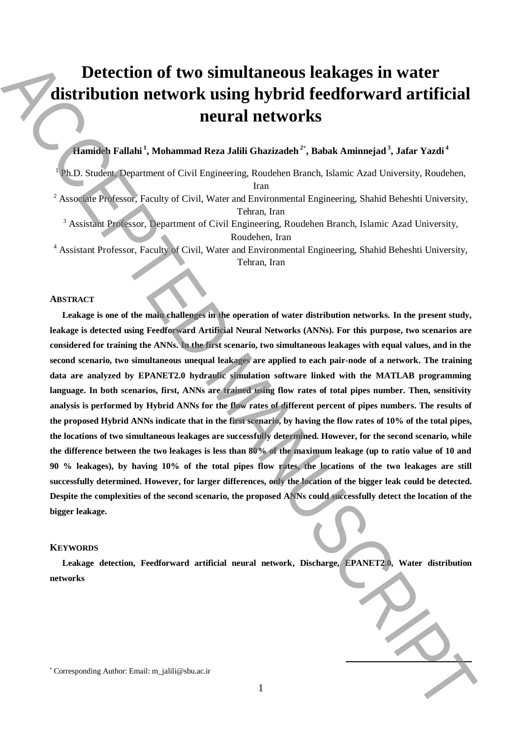# **Detection of two simultaneous leakages in water distribution network using hybrid feedforward artificial neural networks**

# **Hamideh Fallahi <sup>1</sup> , Mohammad Reza Jalili Ghazizadeh <sup>2</sup>\* , Babak Aminnejad <sup>3</sup> , Jafar Yazdi <sup>4</sup>**

<sup>1</sup> Ph.D. Student, Department of Civil Engineering, Roudehen Branch, Islamic Azad University, Roudehen, Iran

<sup>2</sup> Associate Professor, Faculty of Civil, Water and Environmental Engineering, Shahid Beheshti University, Tehran, Iran

<sup>3</sup> Assistant Professor, Department of Civil Engineering, Roudehen Branch, Islamic Azad University, Roudehen, Iran

<sup>4</sup> Assistant Professor, Faculty of Civil, Water and Environmental Engineering, Shahid Beheshti University, Tehran, Iran

#### **ABSTRACT**

**Leakage is one of the main challenges in the operation of water distribution networks. In the present study, leakage is detected using Feedforward Artificial Neural Networks (ANNs). For this purpose, two scenarios are considered for training the ANNs. In the first scenario, two simultaneous leakages with equal values, and in the second scenario, two simultaneous unequal leakages are applied to each pair-node of a network. The training data are analyzed by EPANET2.0 hydraulic simulation software linked with the MATLAB programming language. In both scenarios, first, ANNs are trained using flow rates of total pipes number. Then, sensitivity analysis is performed by Hybrid ANNs for the flow rates of different percent of pipes numbers. The results of the proposed Hybrid ANNs indicate that in the first scenario, by having the flow rates of 10% of the total pipes, the locations of two simultaneous leakages are successfully determined. However, for the second scenario, while the difference between the two leakages is less than 80% of the maximum leakage (up to ratio value of 10 and 90 % leakages), by having 10% of the total pipes flow rates, the locations of the two leakages are still successfully determined. However, for larger differences, only the location of the bigger leak could be detected. Despite the complexities of the second scenario, the proposed ANNs could successfully detect the location of the bigger leakage. Detection of two simultaneous leakages in water**<br> **Corresponding Author:** metrics of the state of the corresponding Author: The Vandak Aminamigan?<br>
And Such an approximate and Coll Expending Reads about a heat, believe a

#### **KEYWORDS**

**Leakage detection, Feedforward artificial neural network, Discharge, EPANET2.0, Water distribution networks**

**.**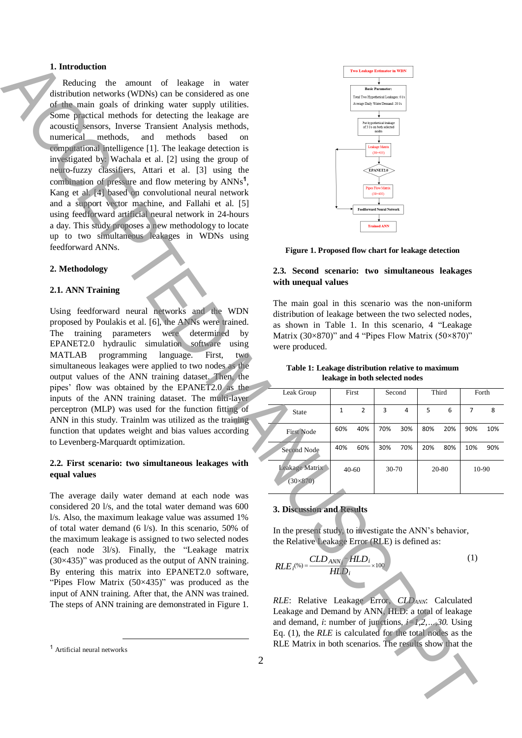# **1. Introduction**

Reducing the amount of leakage in water distribution networks (WDNs) can be considered as one of the main goals of drinking water supply utilities. Some practical methods for detecting the leakage are acoustic sensors, Inverse Transient Analysis methods, numerical methods, and methods based on computational intelligence [1]. The leakage detection is investigated by: Wachala et al. [2] using the group of neuro-fuzzy classifiers, Attari et al. [3] using the combination of pressure and flow metering by ANNs**<sup>1</sup>** , Kang et al. [4] based on convolutional neural network and a support vector machine, and Fallahi et al. [5] using feedforward artificial neural network in 24-hours a day. This study proposes a new methodology to locate up to two simultaneous leakages in WDNs using feedforward ANNs. **1.** Interaction of Indian extreme the matrix of the second term is the second of the second of the second of the second of the second of the second of the second of the second of the second of the second of the second of

#### **2. Methodology**

#### **2.1. ANN Training**

Using feedforward neural networks and the WDN proposed by Poulakis et al. [6], the ANNs were trained. The training parameters were determined by EPANET2.0 hydraulic simulation software using MATLAB programming language. First, two simultaneous leakages were applied to two nodes as the output values of the ANN training dataset. Then, the pipes' flow was obtained by the EPANET2.0 as the inputs of the ANN training dataset. The multi-layer perceptron (MLP) was used for the function fitting of ANN in this study. Trainlm was utilized as the training function that updates weight and bias values according to Levenberg-Marquardt optimization.

# **2.2. First scenario: two simultaneous leakages with equal values**

The average daily water demand at each node was considered 20 l/s, and the total water demand was 600 l/s. Also, the maximum leakage value was assumed 1% of total water demand (6 l/s). In this scenario, 50% of the maximum leakage is assigned to two selected nodes (each node 3l/s). Finally, the "Leakage matrix  $(30\times435)$ " was produced as the output of ANN training. By entering this matrix into EPANET2.0 software, "Pipes Flow Matrix  $(50\times435)$ " was produced as the input of ANN training. After that, the ANN was trained. The steps of ANN training are demonstrated in Figure 1.

 $\overline{a}$ 



**Figure 1. Proposed flow chart for leakage detection**

# **2.3. Second scenario: two simultaneous leakages with unequal values**

The main goal in this scenario was the non-uniform distribution of leakage between the two selected nodes, as shown in Table 1. In this scenario, 4 "Leakage Matrix (30×870)" and 4 "Pipes Flow Matrix (50×870)" were produced.

| Table 1: Leakage distribution relative to maximum |
|---------------------------------------------------|
| leakage in both selected nodes                    |

| Leak Group                        | First     |                | Second    |     | Third |     | Forth |     |
|-----------------------------------|-----------|----------------|-----------|-----|-------|-----|-------|-----|
| State                             | 1         | $\overline{2}$ | 3         | 4   | 5     | 6   | 7     | 8   |
| <b>First Node</b>                 | 60%       | 40%            | 70%       | 30% | 80%   | 20% | 90%   | 10% |
| Second Node                       | 40%       | 60%            | 30%       | 70% | 20%   | 80% | 10%   | 90% |
| Leakage Matrix<br>$(30\times870)$ | $40 - 60$ |                | $30 - 70$ |     | 20-80 |     | 10-90 |     |

#### **3. Discussion and Results**

In the present study, to investigate the ANN's behavior, the Relative Leakage Error (RLE) is defined as:

$$
RLE_i^{(96)} = \frac{CLD_{ANN_i} / HLD_i}{HLD_i} \times 100
$$
 (1)

*RLE*: Relative Leakage Error, *CLDANN*: Calculated Leakage and Demand by ANN, HLD: a total of leakage and demand, *i*: number of junctions*, i=1,2,…,30.* Using Eq. (1), the *RLE* is calculated for the total nodes as the RLE Matrix in both scenarios. The results show that the

<sup>1</sup> Artificial neural networks